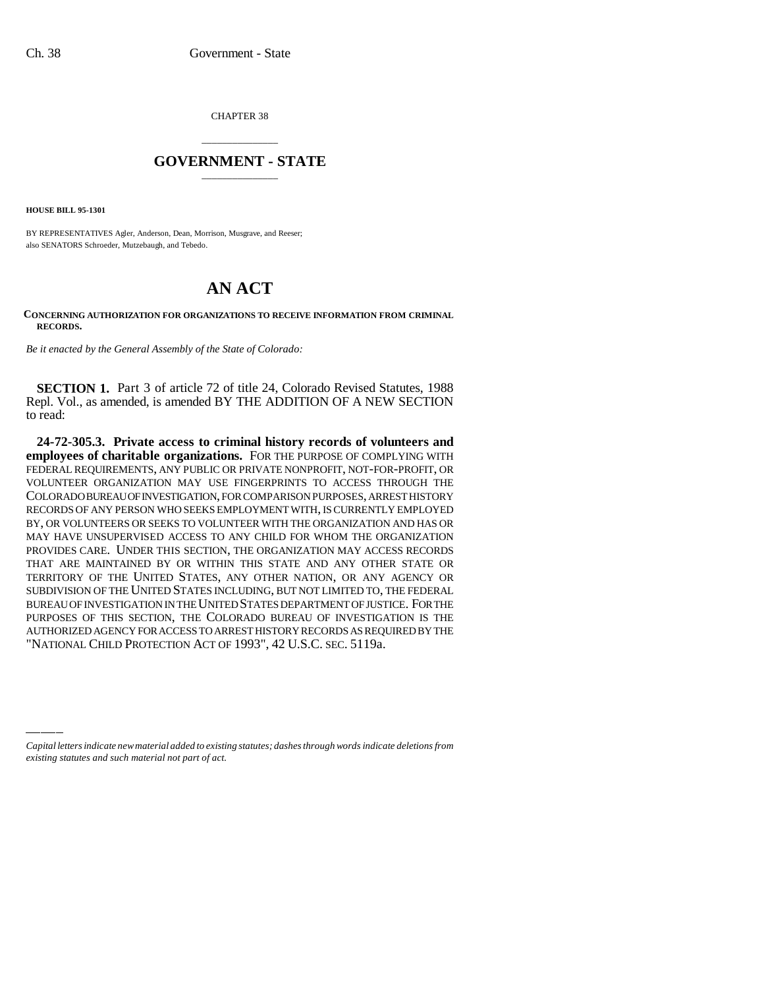CHAPTER 38

## \_\_\_\_\_\_\_\_\_\_\_\_\_\_\_ **GOVERNMENT - STATE** \_\_\_\_\_\_\_\_\_\_\_\_\_\_\_

**HOUSE BILL 95-1301**

BY REPRESENTATIVES Agler, Anderson, Dean, Morrison, Musgrave, and Reeser; also SENATORS Schroeder, Mutzebaugh, and Tebedo.

## **AN ACT**

## **CONCERNING AUTHORIZATION FOR ORGANIZATIONS TO RECEIVE INFORMATION FROM CRIMINAL RECORDS.**

*Be it enacted by the General Assembly of the State of Colorado:*

**SECTION 1.** Part 3 of article 72 of title 24, Colorado Revised Statutes, 1988 Repl. Vol., as amended, is amended BY THE ADDITION OF A NEW SECTION to read:

"NATIONAL CHILD PROTECTION ACT OF 1993", 42 U.S.C. SEC. 5119a.**24-72-305.3. Private access to criminal history records of volunteers and employees of charitable organizations.** FOR THE PURPOSE OF COMPLYING WITH FEDERAL REQUIREMENTS, ANY PUBLIC OR PRIVATE NONPROFIT, NOT-FOR-PROFIT, OR VOLUNTEER ORGANIZATION MAY USE FINGERPRINTS TO ACCESS THROUGH THE COLORADO BUREAU OF INVESTIGATION, FOR COMPARISON PURPOSES, ARREST HISTORY RECORDS OF ANY PERSON WHO SEEKS EMPLOYMENT WITH, IS CURRENTLY EMPLOYED BY, OR VOLUNTEERS OR SEEKS TO VOLUNTEER WITH THE ORGANIZATION AND HAS OR MAY HAVE UNSUPERVISED ACCESS TO ANY CHILD FOR WHOM THE ORGANIZATION PROVIDES CARE. UNDER THIS SECTION, THE ORGANIZATION MAY ACCESS RECORDS THAT ARE MAINTAINED BY OR WITHIN THIS STATE AND ANY OTHER STATE OR TERRITORY OF THE UNITED STATES, ANY OTHER NATION, OR ANY AGENCY OR SUBDIVISION OF THE UNITED STATES INCLUDING, BUT NOT LIMITED TO, THE FEDERAL BUREAU OF INVESTIGATION IN THE UNITED STATES DEPARTMENT OF JUSTICE. FOR THE PURPOSES OF THIS SECTION, THE COLORADO BUREAU OF INVESTIGATION IS THE AUTHORIZED AGENCY FOR ACCESS TO ARREST HISTORY RECORDS AS REQUIRED BY THE

*Capital letters indicate new material added to existing statutes; dashes through words indicate deletions from existing statutes and such material not part of act.*